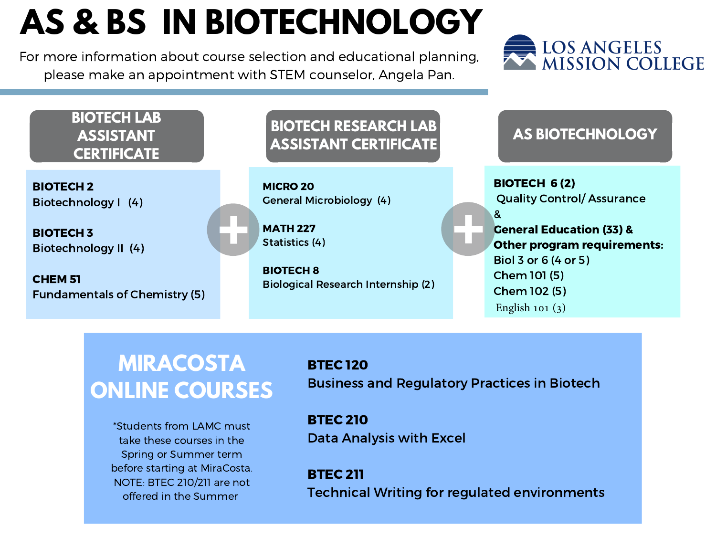# **AS & BS IN BIOTECHNOLOGY**

For more information about course selection and educational planning, please make an appointment with STEM counselor, Angela Pan.



#### **BIOTECH LAB ASSISTANT CERTIFICATE**

BIOTECH 2 Biotechnology I (4)

BIOTECH 3 Biotechnology II (4)

CHEM 51 Fundamentals of Chemistry (5)

### **BIOTECH RESEARCH LAB ASSISTANT CERTIFICATE AS BIOTECHNOLOGY**

MICRO 20 General Microbiology (4)

MATH 227 Statistics (4)

BIOTECH 8 Biological Research Internship (2)

BIOTECH 6 (2) Quality Control/ Assurance & General Education (33) & Other program requirements: Biol 3 or 6 (4 or 5) Chem 101 (5) Chem 102 (5) English 101 $(3)$ 

## **MIRACOSTA ONLINE COURSES**

\*Students from LAMC must take these courses in the Spring or Summer term before starting at MiraCosta. NOTE: BTEC 210/211 are not offered in the Summer

BTEC 120 Business and Regulatory Practices in Biotech

BTEC 210 Data Analysis with Excel

BTEC 211 Technical Writing for regulated environments